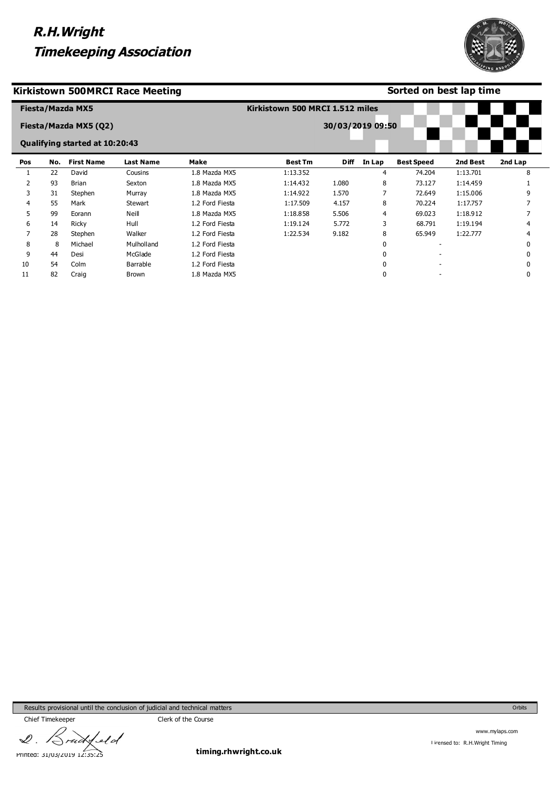

### **Kirkistown 500MRCI Race Meeting**

### **Sorted on best lap time**

|     |     | Fiesta/Mazda MX5<br>Fiesta/Mazda MX5 (Q2) |                  |                 | Kirkistown 500 MRCI 1.512 miles | 30/03/2019 09:50 |        |                   |          |              |
|-----|-----|-------------------------------------------|------------------|-----------------|---------------------------------|------------------|--------|-------------------|----------|--------------|
|     |     | <b>Qualifying started at 10:20:43</b>     |                  |                 |                                 |                  |        |                   |          |              |
| Pos | No. | <b>First Name</b>                         | <b>Last Name</b> | <b>Make</b>     | <b>Best Tm</b>                  | <b>Diff</b>      | In Lap | <b>Best Speed</b> | 2nd Best | 2nd Lap      |
|     | 22  | David                                     | Cousins          | 1.8 Mazda MX5   | 1:13.352                        |                  | 4      | 74.204            | 1:13.701 | 8            |
|     | 93  | <b>Brian</b>                              | Sexton           | 1.8 Mazda MX5   | 1:14.432                        | 1.080            | 8      | 73.127            | 1:14.459 |              |
| 3   | 31  | Stephen                                   | Murray           | 1.8 Mazda MX5   | 1:14.922                        | 1.570            | 7      | 72.649            | 1:15.006 | 9            |
| 4   | 55  | Mark                                      | <b>Stewart</b>   | 1.2 Ford Fiesta | 1:17.509                        | 4.157            | 8      | 70.224            | 1:17.757 |              |
| ь   | 99  | Eorann                                    | Neill            | 1.8 Mazda MX5   | 1:18.858                        | 5.506            | 4      | 69.023            | 1:18.912 |              |
| 6   | 14  | Ricky                                     | Hull             | 1.2 Ford Fiesta | 1:19.124                        | 5.772            | 3      | 68.791            | 1:19.194 | 4            |
|     | 28  | Stephen                                   | Walker           | 1.2 Ford Fiesta | 1:22.534                        | 9.182            | 8      | 65.949            | 1:22.777 | 4            |
| 8   | 8   | Michael                                   | Mulholland       | 1.2 Ford Fiesta |                                 |                  |        |                   |          | <sup>0</sup> |
| 9   | 44  | Desi                                      | McGlade          | 1.2 Ford Fiesta |                                 |                  |        |                   |          | <sup>0</sup> |
| 10  | 54  | Colm                                      | Barrable         | 1.2 Ford Fiesta |                                 |                  |        |                   |          |              |
| 11  | 82  | Craig                                     | Brown            | 1.8 Mazda MX5   |                                 |                  |        |                   |          | 0            |

Results provisional until the conclusion of judicial and technical matters

feld  $\mathscr{Q}$ . Printed: 31/03/2019 12:35:25

Chief Timekeeper Chief Timekeeper

**timing.rhwright.co.uk**

Orbits

www.mylaps.com Licensed to: R.H.Wright Timing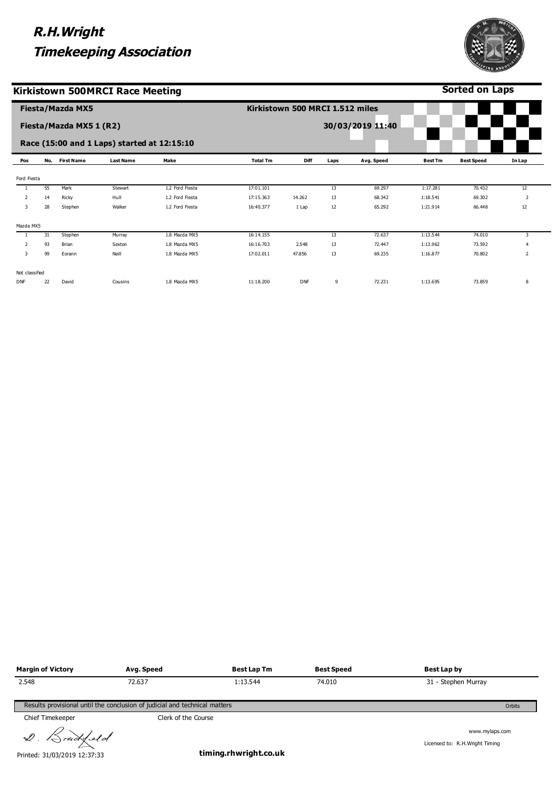

**Sorted on Laps**

### **Kirkistown 500MRCI Race Meeting**

|                |     | <b>Fiesta/Mazda MX5</b> |                                             |                 |                 | Kirkistown 500 MRCI 1.512 miles |      |                  |                |                   |                |
|----------------|-----|-------------------------|---------------------------------------------|-----------------|-----------------|---------------------------------|------|------------------|----------------|-------------------|----------------|
|                |     | Fiesta/Mazda MX5 1 (R2) |                                             |                 |                 |                                 |      | 30/03/2019 11:40 |                |                   |                |
|                |     |                         | Race (15:00 and 1 Laps) started at 12:15:10 |                 |                 |                                 |      |                  |                |                   |                |
| Pos            | No. | <b>First Name</b>       | <b>Last Name</b>                            | Make            | <b>Total Tm</b> | Diff                            | Laps | Avg. Speed       | <b>Best Tm</b> | <b>Best Speed</b> | In Lap         |
| Ford Fiesta    |     |                         |                                             |                 |                 |                                 |      |                  |                |                   |                |
|                | 55  | Mark                    | Stewart                                     | 1.2 Ford Fiesta | 17:01.101       |                                 | 13   | 69.297           | 1:17.281       | 70.432            | 12             |
| 2              | 14  | Ricky                   | Hull                                        | 1.2 Ford Fiesta | 17:15.363       | 14.262                          | 13   | 68.342           | 1:18.541       | 69.302            | 2              |
| 3              | 28  | Stephen                 | Walker                                      | 1.2 Ford Fiesta | 16:40.377       | 1 Lap                           | 12   | 65.292           | 1:21.914       | 66.448            | 12             |
| Mazda MX5      |     |                         |                                             |                 |                 |                                 |      |                  |                |                   |                |
|                | 31  | Stephen                 | Murray                                      | 1.8 Mazda MX5   | 16:14.155       |                                 | 13   | 72.637           | 1:13.544       | 74.010            | 3              |
| 2              | 93  | Brian                   | Sexton                                      | 1.8 Mazda MX5   | 16:16.703       | 2.548                           | 13   | 72.447           | 1:13.962       | 73.592            | $\overline{4}$ |
| 3              | 99  | Eorann                  | Neill                                       | 1.8 Mazda MX5   | 17:02.011       | 47.856                          | 13   | 69.235           | 1:16.877       | 70.802            | $\overline{2}$ |
| Not classified |     |                         |                                             |                 |                 |                                 |      |                  |                |                   |                |
| <b>DNF</b>     | 22  | David                   | Cousins                                     | 1.8 Mazda MX5   | 11:18.200       | <b>DNF</b>                      | 9    | 72.231           | 1:13.695       | 73.859            | 8              |

| <b>Margin of Victory</b> | Avg. Speed                                                                 | <b>Best Lap Tm</b> | <b>Best Speed</b> | Best Lap by                      |  |
|--------------------------|----------------------------------------------------------------------------|--------------------|-------------------|----------------------------------|--|
| 2.548                    | 72.637                                                                     | 1:13.544           | 74.010            | 31 - Stephen Murray              |  |
|                          |                                                                            |                    |                   |                                  |  |
|                          | Results provisional until the conclusion of judicial and technical matters |                    |                   | Orbits                           |  |
| Chief Timekeeper         | Clerk of the Course                                                        |                    |                   |                                  |  |
| $\curvearrowright$ .     |                                                                            |                    |                   | المصامص لمستماء بمساليد والمروان |  |

2. Brudysld

Printed: 31/03/2019 12:37:33

**timing.rhwright.co.uk**

www.mylaps.com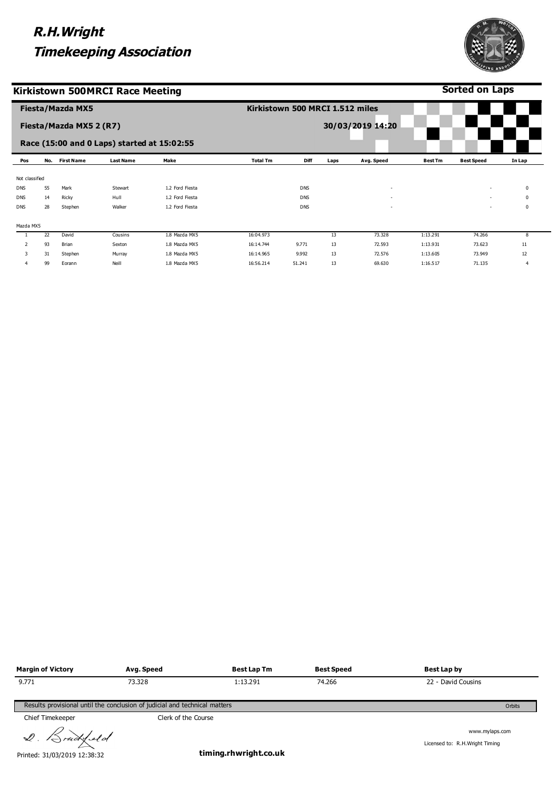

|  | ruckled<br>$\triangle$ |
|--|------------------------|
|  |                        |

**Avg. Speed** 73.328

Results provisional until the conclusion of judicial and technical matters

Printed: 31/03/2019 12:38:32

**Margin of Victory**

9.771

**Sorted on Laps**

| <b>Timekeeping Association</b> |  |  |
|--------------------------------|--|--|
|                                |  |  |

|                | <b>Fiesta/Mazda MX5</b> |                         |                                             |                 | Kirkistown 500 MRCI 1.512 miles |            |      |                  |                |                          |                |  |
|----------------|-------------------------|-------------------------|---------------------------------------------|-----------------|---------------------------------|------------|------|------------------|----------------|--------------------------|----------------|--|
|                |                         | Fiesta/Mazda MX5 2 (R7) |                                             |                 |                                 |            |      | 30/03/2019 14:20 |                |                          |                |  |
|                |                         |                         | Race (15:00 and 0 Laps) started at 15:02:55 |                 |                                 |            |      |                  |                |                          |                |  |
| Pos            | No.                     | <b>First Name</b>       | <b>Last Name</b>                            | Make            | <b>Total Tm</b>                 | Diff       | Laps | Avg. Speed       | <b>Best Tm</b> | <b>Best Speed</b>        | In Lap         |  |
| Not classified |                         |                         |                                             |                 |                                 |            |      |                  |                |                          |                |  |
| <b>DNS</b>     | 55                      | Mark                    | Stewart                                     | 1.2 Ford Fiesta |                                 | <b>DNS</b> |      | $\sim$           |                | ٠                        | $\mathbf 0$    |  |
| <b>DNS</b>     | 14                      | Ricky                   | Hull                                        | 1.2 Ford Fiesta |                                 | <b>DNS</b> |      |                  |                | $\overline{\phantom{a}}$ | $\Omega$       |  |
| <b>DNS</b>     | 28                      | Stephen                 | Walker                                      | 1.2 Ford Fiesta |                                 | <b>DNS</b> |      |                  |                | $\overline{\phantom{a}}$ | 0              |  |
| Mazda MX5      |                         |                         |                                             |                 |                                 |            |      |                  |                |                          |                |  |
|                | 22                      | David                   | Cousins                                     | 1.8 Mazda MX5   | 16:04.973                       |            | 13   | 73.328           | 1:13.291       | 74.266                   | 8              |  |
| $\overline{2}$ | 93                      | Brian                   | Sexton                                      | 1.8 Mazda MX5   | 16:14.744                       | 9.771      | 13   | 72.593           | 1:13.931       | 73.623                   | 11             |  |
| 3              | 31                      | Stephen                 | Murray                                      | 1.8 Mazda MX5   | 16:14.965                       | 9.992      | 13   | 72.576           | 1:13.605       | 73.949                   | 12             |  |
| 4              | 99                      | Eorann                  | Neill                                       | 1.8 Mazda MX5   | 16:56.214                       | 51.241     | 13   | 69.630           | 1:16.517       | 71.135                   | $\overline{4}$ |  |

Orbits

**timing.rhwright.co.uk**

**Best Lap Tm** 1:13.291

**Best Speed** 74.266

www.mylaps.com

Licensed to: R.H.Wright Timing

**Best Lap by** 22 - David Cousins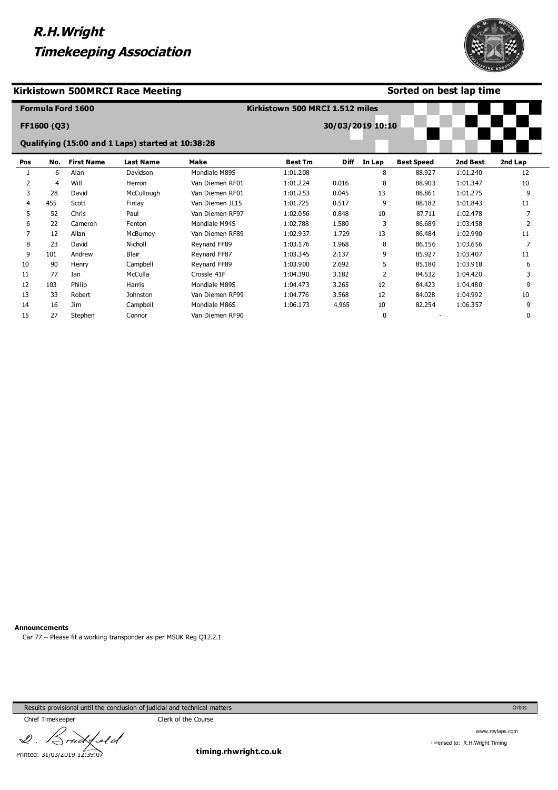



#### **Sorted on best lap time**

|     |                | <b>Formula Ford 1600</b> |                                                   |                 | Kirkistown 500 MRCI 1.512 miles |                  |             |                   |          |          |
|-----|----------------|--------------------------|---------------------------------------------------|-----------------|---------------------------------|------------------|-------------|-------------------|----------|----------|
|     | FF1600 (Q3)    |                          |                                                   |                 |                                 | 30/03/2019 10:10 |             |                   |          |          |
|     |                |                          | Qualifying (15:00 and 1 Laps) started at 10:38:28 |                 |                                 |                  |             |                   |          |          |
| Pos | No.            | <b>First Name</b>        | <b>Last Name</b>                                  | Make            | <b>Best Tm</b>                  | <b>Diff</b>      | In Lap      | <b>Best Speed</b> | 2nd Best | 2nd Lap  |
|     | 6              | Alan                     | Davidson                                          | Mondiale M89S   | 1:01.208                        |                  | 8           | 88.927            | 1:01.240 | 12       |
| 2   | $\overline{4}$ | Will                     | Herron                                            | Van Diemen RF01 | 1:01.224                        | 0.016            | 8           | 88.903            | 1:01.347 | 10       |
| 3   | 28             | David                    | McCullough                                        | Van Diemen RF01 | 1:01.253                        | 0.045            | 13          | 88.861            | 1:01.275 | 9        |
| 4   | 455            | Scott                    | Finlay                                            | Van Diemen JL15 | 1:01.725                        | 0.517            | 9           | 88.182            | 1:01.843 | 11       |
| 5   | 52             | Chris                    | Paul                                              | Van Diemen RF97 | 1:02.056                        | 0.848            | 10          | 87.711            | 1:02.478 |          |
| 6   | 22             | Cameron                  | Fenton                                            | Mondiale M94S   | 1:02.788                        | 1.580            | 3           | 86.689            | 1:03.458 | 2        |
| 7   | 12             | Allan                    | McBurney                                          | Van Diemen RF89 | 1:02.937                        | 1.729            | 13          | 86.484            | 1:02.990 | 11       |
| 8   | 23             | David                    | Nicholl                                           | Reynard FF89    | 1:03.176                        | 1.968            | 8           | 86.156            | 1:03.656 | 7        |
| 9   | 101            | Andrew                   | <b>Blair</b>                                      | Reynard FF87    | 1:03.345                        | 2.137            | 9           | 85.927            | 1:03.407 | 11       |
| 10  | 90             | Henry                    | Campbell                                          | Reynard FF89    | 1:03.900                        | 2.692            | 5           | 85.180            | 1:03.918 | 6        |
| 11  | 77             | Ian                      | McCulla                                           | Crossle 41F     | 1:04.390                        | 3.182            | 2           | 84.532            | 1:04.420 |          |
| 12  | 103            | Philip                   | Harris                                            | Mondiale M89S   | 1:04.473                        | 3.265            | 12          | 84.423            | 1:04.480 | 9        |
| 13  | 33             | Robert                   | <b>Johnston</b>                                   | Van Diemen RF99 | 1:04.776                        | 3.568            | 12          | 84.028            | 1:04.992 | 10       |
| 14  | 16             | <b>Jim</b>               | Campbell                                          | Mondiale M86S   | 1:06.173                        | 4.965            | 10          | 82.254            | 1:06.357 | 9        |
| 15  | 27             | Stephen                  | Connor                                            | Van Diemen RF90 |                                 |                  | $\mathbf 0$ |                   |          | $\Omega$ |

**Announcements**

Car 77 – Please fit a working transponder as per MSUK Reg Q12.2.1

Results provisional until the conclusion of judicial and technical matters

Chief Timekeeper Chief Timekeeper  $4$ eld  $\mathcal{Q}$ 

Printed: 31/03/2019 12:39:07

**timing.rhwright.co.uk**

Orbits

www.mylaps.com Licensed to: R.H.Wright Timing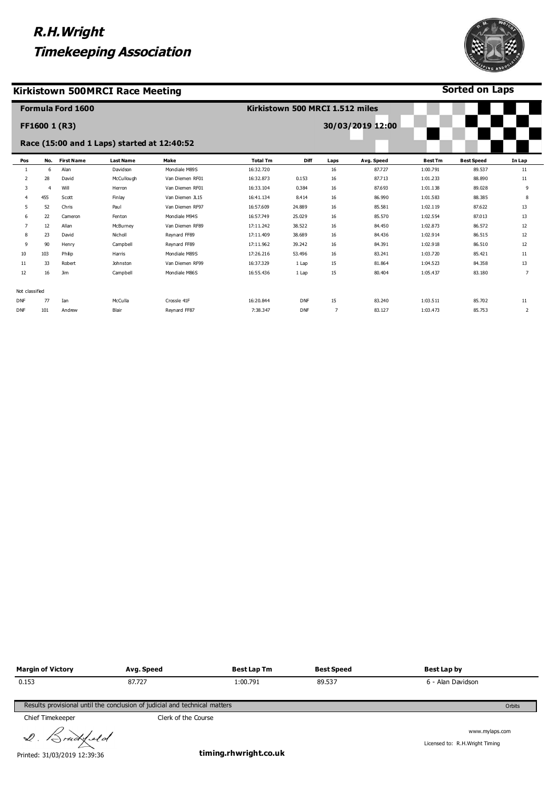#### **Kirkistown 500MRCI Race Meeting**



**Sorted on Laps**

|                |                | <b>Formula Ford 1600</b> |                                             |                 | Kirkistown 500 MRCI 1.512 miles |            |                |                  |                |                   |                |
|----------------|----------------|--------------------------|---------------------------------------------|-----------------|---------------------------------|------------|----------------|------------------|----------------|-------------------|----------------|
|                | FF1600 1 (R3)  |                          |                                             |                 |                                 |            |                | 30/03/2019 12:00 |                |                   |                |
|                |                |                          | Race (15:00 and 1 Laps) started at 12:40:52 |                 |                                 |            |                |                  |                |                   |                |
| Pos            | No.            | <b>First Name</b>        | <b>Last Name</b>                            | Make            | <b>Total Tm</b>                 | Diff       | Laps           | Avg. Speed       | <b>Best Tm</b> | <b>Best Speed</b> | In Lap         |
| -1             | 6              | Alan                     | Davidson                                    | Mondiale M89S   | 16:32.720                       |            | 16             | 87.727           | 1:00.791       | 89.537            | 11             |
| 2              | 28             | David                    | McCullough                                  | Van Diemen RF01 | 16:32.873                       | 0.153      | 16             | 87.713           | 1:01.233       | 88.890            | 11             |
| 3              | $\overline{4}$ | Will                     | Herron                                      | Van Diemen RF01 | 16:33.104                       | 0.384      | 16             | 87.693           | 1:01.138       | 89.028            | 9              |
| 4              | 455            | Scott                    | Finlay                                      | Van Diemen JL15 | 16:41.134                       | 8.414      | 16             | 86.990           | 1:01.583       | 88.385            | 8              |
| 5              | 52             | Chris                    | Paul                                        | Van Diemen RF97 | 16:57.609                       | 24,889     | 16             | 85.581           | 1:02.119       | 87.622            | 13             |
| 6              | 22             | Cameron                  | Fenton                                      | Mondiale M94S   | 16:57.749                       | 25.029     | 16             | 85.570           | 1:02.554       | 87.013            | 13             |
| $\overline{7}$ | 12             | Allan                    | McBurney                                    | Van Diemen RF89 | 17:11.242                       | 38.522     | 16             | 84.450           | 1:02.873       | 86.572            | 12             |
| 8              | 23             | David                    | Nicholl                                     | Reynard FF89    | 17:11.409                       | 38.689     | 16             | 84.436           | 1:02.914       | 86.515            | 12             |
| 9              | 90             | Henry                    | Campbell                                    | Reynard FF89    | 17:11.962                       | 39.242     | 16             | 84.391           | 1:02.918       | 86.510            | 12             |
| 10             | 103            | Philip                   | Harris                                      | Mondiale M89S   | 17:26.216                       | 53.496     | 16             | 83.241           | 1:03.720       | 85.421            | 11             |
| 11             | 33             | Robert                   | Johnston                                    | Van Diemen RF99 | 16:37.329                       | 1 Lap      | 15             | 81.864           | 1:04.523       | 84.358            | 13             |
| 12             | 16             | Jim                      | Campbell                                    | Mondiale M86S   | 16:55.436                       | 1 Lap      | 15             | 80.404           | 1:05.437       | 83.180            | $\overline{7}$ |
| Not classified |                |                          |                                             |                 |                                 |            |                |                  |                |                   |                |
| <b>DNF</b>     | 77             | Ian                      | McCulla                                     | Crossle 41F     | 16:20.844                       | <b>DNF</b> | 15             | 83.240           | 1:03.511       | 85.702            | 11             |
| <b>DNF</b>     | 101            | Andrew                   | Blair                                       | Revnard FF87    | 7:38.347                        | <b>DNF</b> | $\overline{7}$ | 83.127           | 1:03.473       | 85.753            | 2              |

| <b>Margin of Victory</b>                                                             | Avg. Speed | Best Lap Tm | Best Speed | Best Lap by       |  |  |  |  |
|--------------------------------------------------------------------------------------|------------|-------------|------------|-------------------|--|--|--|--|
| 0.153                                                                                | 87.727     | 1:00.791    | 89.537     | 6 - Alan Davidson |  |  |  |  |
|                                                                                      |            |             |            |                   |  |  |  |  |
| Results provisional until the conclusion of judicial and technical matters<br>Orbits |            |             |            |                   |  |  |  |  |

Chief Timekeeper Chief Timekeeper

2. Brudysld

Printed: 31/03/2019 12:39:36

**timing.rhwright.co.uk**

www.mylaps.com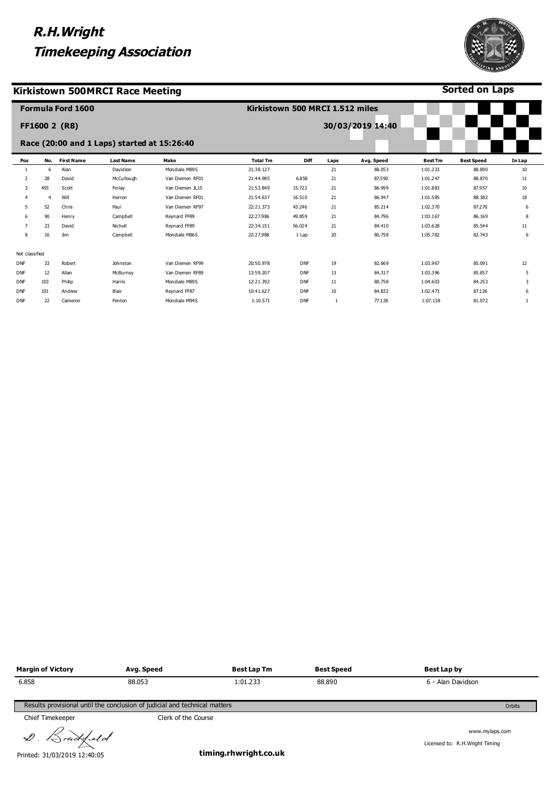#### **Kirkistown 500MRCI Race Meeting**



**Sorted on Laps**

|                |                | <b>Formula Ford 1600</b> |                                             |                 | Kirkistown 500 MRCI 1.512 miles |            |      |                  |                |                   |        |
|----------------|----------------|--------------------------|---------------------------------------------|-----------------|---------------------------------|------------|------|------------------|----------------|-------------------|--------|
|                |                | <b>FF1600 2 (R8)</b>     |                                             |                 |                                 |            |      | 30/03/2019 14:40 |                |                   |        |
|                |                |                          | Race (20:00 and 1 Laps) started at 15:26:40 |                 |                                 |            |      |                  |                |                   |        |
| Pos            | No.            | <b>First Name</b>        | <b>Last Name</b>                            | Make            | <b>Total Tm</b>                 | Diff       | Laps | Avg. Speed       | <b>Best Tm</b> | <b>Best Speed</b> | In Lap |
| 1              | 6              | Alan                     | Davidson                                    | Mondiale M89S   | 21:38.127                       |            | 21   | 88.053           | 1:01.233       | 88.890            | 10     |
| 2              | 28             | David                    | McCullough                                  | Van Diemen RF01 | 21:44.985                       | 6.858      | 21   | 87.590           | 1:01.247       | 88.870            | 11     |
| 3              | 455            | Scott                    | Finlay                                      | Van Diemen JL15 | 21:53.849                       | 15.722     | 21   | 86.999           | 1:01.883       | 87.957            | 10     |
| 4              | $\overline{4}$ | Will                     | Herron                                      | Van Diemen RF01 | 21:54.637                       | 16.510     | 21   | 86.947           | 1:01.585       | 88.382            | 18     |
| 5              | 52             | Chris                    | Paul                                        | Van Diemen RF97 | 22:21.373                       | 43.246     | 21   | 85.214           | 1:02.370       | 87.270            | 6      |
| 6              | 90             | Henry                    | Campbell                                    | Reynard FF89    | 22:27.986                       | 49.859     | 21   | 84.796           | 1:03.167       | 86.169            | 8      |
|                | 23             | David                    | Nicholl                                     | Reynard FF89    | 22:34.151                       | 56.024     | 21   | 84.410           | 1:03.628       | 85.544            | 11     |
| 8              | 16             | Jim                      | Campbell                                    | Mondiale M86S   | 22:27.988                       | 1 Lap      | 20   | 80.758           | 1:05.782       | 82.743            | 6      |
| Not classified |                |                          |                                             |                 |                                 |            |      |                  |                |                   |        |
| DNF            | 33             | Robert                   | Johnston                                    | Van Diemen RF99 | 20:50.978                       | <b>DNF</b> | 19   | 82.669           | 1:03.967       | 85.091            | 12     |
| DNF            | 12             | Allan                    | McBurney                                    | Van Diemen RF89 | 13:59.207                       | <b>DNF</b> | 13   | 84.317           | 1:03.396       | 85.857            | 5      |
| DNF            | 103            | Philip                   | Harris                                      | Mondiale M89S   | 12:21.392                       | <b>DNF</b> | 11   | 80.758           | 1:04.603       | 84.253            | 3      |
| DNF            | 101            | Andrew                   | Blair                                       | Reynard FF87    | 10:41.627                       | <b>DNF</b> | 10   | 84.832           | 1:02.473       | 87.126            | 6      |
| DNF            | 22             | Cameron                  | Fenton                                      | Mondiale M94S   | 1:10.571                        | <b>DNF</b> |      | 77.128           | 1:07.138       | 81.072            | 1      |
|                |                |                          |                                             |                 |                                 |            |      |                  |                |                   |        |

| <b>Margin of Victory</b> | Avg. Speed                                                                 | <b>Best Lap Tm</b> | Best Speed | Best Lap by       |        |  |  |  |  |  |
|--------------------------|----------------------------------------------------------------------------|--------------------|------------|-------------------|--------|--|--|--|--|--|
| 6.858                    | 88.053                                                                     | 1:01.233           | 88.890     | 6 - Alan Davidson |        |  |  |  |  |  |
|                          |                                                                            |                    |            |                   |        |  |  |  |  |  |
|                          | Results provisional until the conclusion of judicial and technical matters |                    |            |                   | Orbits |  |  |  |  |  |

Chief Timekeeper Chief Timekeeper

2. Brudysld

Printed: 31/03/2019 12:40:05

**timing.rhwright.co.uk**

www.mylaps.com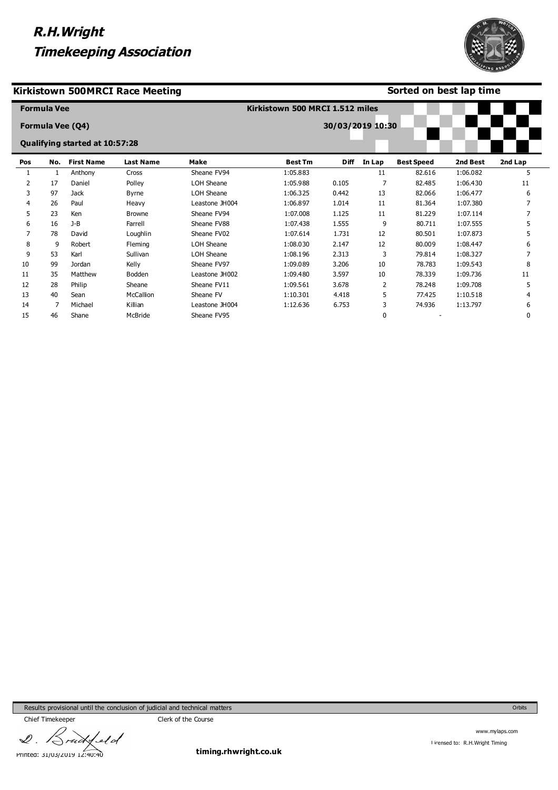#### **Kirkistown 500MRCI Race Meeting**

#### **Sorted on best lap time**

|     | <b>Formula Vee</b> |                                       |                  |                | Kirkistown 500 MRCI 1.512 miles |                  |        |                   |          |         |
|-----|--------------------|---------------------------------------|------------------|----------------|---------------------------------|------------------|--------|-------------------|----------|---------|
|     |                    | Formula Vee (Q4)                      |                  |                |                                 | 30/03/2019 10:30 |        |                   |          |         |
|     |                    | <b>Qualifying started at 10:57:28</b> |                  |                |                                 |                  |        |                   |          |         |
| Pos | No.                | <b>First Name</b>                     | <b>Last Name</b> | Make           | <b>Best Tm</b>                  | <b>Diff</b>      | In Lap | <b>Best Speed</b> | 2nd Best | 2nd Lap |
|     |                    | Anthony                               | Cross            | Sheane FV94    | 1:05.883                        |                  | 11     | 82.616            | 1:06.082 | 5       |
| 2   | 17                 | Daniel                                | Polley           | LOH Sheane     | 1:05.988                        | 0.105            |        | 82.485            | 1:06.430 | 11      |
| 3   | 97                 | Jack                                  | <b>Byrne</b>     | LOH Sheane     | 1:06.325                        | 0.442            | 13     | 82.066            | 1:06.477 | 6       |
| 4   | 26                 | Paul                                  | Heavy            | Leastone JH004 | 1:06.897                        | 1.014            | 11     | 81.364            | 1:07.380 |         |
| 5.  | 23                 | Ken                                   | <b>Browne</b>    | Sheane FV94    | 1:07.008                        | 1.125            | 11     | 81.229            | 1:07.114 |         |
| 6   | 16                 | $J-B$                                 | Farrell          | Sheane FV88    | 1:07.438                        | 1.555            | 9      | 80.711            | 1:07.555 | 5       |
|     | 78                 | David                                 | Loughlin         | Sheane FV02    | 1:07.614                        | 1.731            | 12     | 80.501            | 1:07.873 |         |
| 8   | 9                  | Robert                                | Fleming          | LOH Sheane     | 1:08.030                        | 2.147            | 12     | 80.009            | 1:08.447 | 6       |
| 9   | 53                 | Karl                                  | Sullivan         | LOH Sheane     | 1:08.196                        | 2.313            | 3      | 79.814            | 1:08.327 |         |
| 10  | 99                 | Jordan                                | Kelly            | Sheane FV97    | 1:09.089                        | 3.206            | 10     | 78.783            | 1:09.543 |         |
| 11  | 35                 | Matthew                               | Bodden           | Leastone JH002 | 1:09.480                        | 3.597            | 10     | 78.339            | 1:09.736 | 11      |
| 12  | 28                 | Philip                                | Sheane           | Sheane FV11    | 1:09.561                        | 3.678            |        | 78.248            | 1:09.708 | 5       |

1:10.301 1:12.636 4.418 6.753 5 3 0

77.425 74.936 - 1:10.518 1:13.797

4 6 0

Results provisional until the conclusion of judicial and technical matters

13 14 15 40 7 46

Sean Michael Shane

McCallion Killian McBride

Sheane FV Leastone JH004 Sheane FV95

 $\mathscr{Q}$  . Ield uò Printed: 31/03/2019 12:40:40

Chief Timekeeper Chief Timekeeper

**timing.rhwright.co.uk**

www.mylaps.com Licensed to: R.H.Wright Timing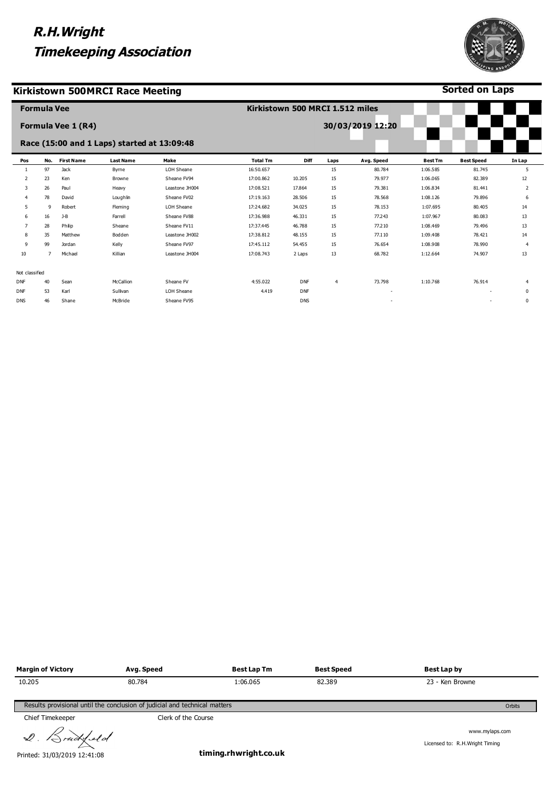#### **Kirkistown 500MRCI Race Meeting**



**Sorted on Laps**

|                | <b>Formula Vee</b> |                    |                                             |                | Kirkistown 500 MRCI 1.512 miles |            |      |                  |                |                   |                |
|----------------|--------------------|--------------------|---------------------------------------------|----------------|---------------------------------|------------|------|------------------|----------------|-------------------|----------------|
|                |                    | Formula Vee 1 (R4) |                                             |                |                                 |            |      | 30/03/2019 12:20 |                |                   |                |
|                |                    |                    | Race (15:00 and 1 Laps) started at 13:09:48 |                |                                 |            |      |                  |                |                   |                |
| Pos            | No.                | <b>First Name</b>  | <b>Last Name</b>                            | Make           | <b>Total Tm</b>                 | Diff       | Laps | Avg. Speed       | <b>Best Tm</b> | <b>Best Speed</b> | In Lap         |
| -1             | 97                 | Jack               | Byrne                                       | LOH Sheane     | 16:50.657                       |            | 15   | 80.784           | 1:06.585       | 81.745            | 5              |
| 2              | 23                 | Ken                | Browne                                      | Sheane FV94    | 17:00.862                       | 10.205     | 15   | 79.977           | 1:06.065       | 82.389            | 12             |
| 3              | 26                 | Paul               | Heavy                                       | Leastone JH004 | 17:08.521                       | 17.864     | 15   | 79.381           | 1:06.834       | 81.441            | 2              |
|                | 78                 | David              | Loughlin                                    | Sheane FV02    | 17:19.163                       | 28.506     | 15   | 78.568           | 1:08.126       | 79.896            | 6              |
| 5              | 9                  | Robert             | Fleming                                     | LOH Sheane     | 17:24.682                       | 34.025     | 15   | 78.153           | 1:07.695       | 80.405            | 14             |
| 6              | 16                 | $J-B$              | Farrell                                     | Sheane FV88    | 17:36.988                       | 46.331     | 15   | 77.243           | 1:07.967       | 80.083            | 13             |
| $\overline{7}$ | 28                 | Philip             | Sheane                                      | Sheane FV11    | 17:37.445                       | 46.788     | 15   | 77.210           | 1:08.469       | 79.496            | 13             |
| 8              | 35                 | Matthew            | Bodden                                      | Leastone JH002 | 17:38.812                       | 48.155     | 15   | 77.110           | 1:09.408       | 78.421            | 14             |
| 9              | 99                 | Jordan             | Kelly                                       | Sheane FV97    | 17:45.112                       | 54.455     | 15   | 76.654           | 1:08.908       | 78.990            | $\overline{4}$ |
| 10             |                    | Michael            | Killian                                     | Leastone JH004 | 17:08.743                       | 2 Laps     | 13   | 68.782           | 1:12.664       | 74.907            | 13             |
| Not classified |                    |                    |                                             |                |                                 |            |      |                  |                |                   |                |
| <b>DNF</b>     | 40                 | Sean               | McCallion                                   | Sheane FV      | 4:55.022                        | <b>DNF</b> | 4    | 73.798           | 1:10.768       | 76.914            | $\overline{4}$ |
| <b>DNF</b>     | 53                 | Karl               | Sullivan                                    | LOH Sheane     | 4.419                           | <b>DNF</b> |      |                  |                |                   | $\mathbf 0$    |
| <b>DNS</b>     | 46                 | Shane              | McBride                                     | Sheane FV95    |                                 | <b>DNS</b> |      |                  |                |                   | 0              |

| <b>Margin of Victory</b> | Avg. Speed                                                                 | Best Lap Tm | <b>Best Speed</b> | Best Lap by     |        |
|--------------------------|----------------------------------------------------------------------------|-------------|-------------------|-----------------|--------|
| 10.205                   | 80.784                                                                     | 1:06.065    | 82.389            | 23 - Ken Browne |        |
|                          | Results provisional until the conclusion of judicial and technical matters |             |                   |                 | Orbits |
| Chief Timekeeper         | Clerk of the Course                                                        |             |                   |                 |        |

 $Q$ . Brudsfeld

Printed: 31/03/2019 12:41:08

**timing.rhwright.co.uk**

www.mylaps.com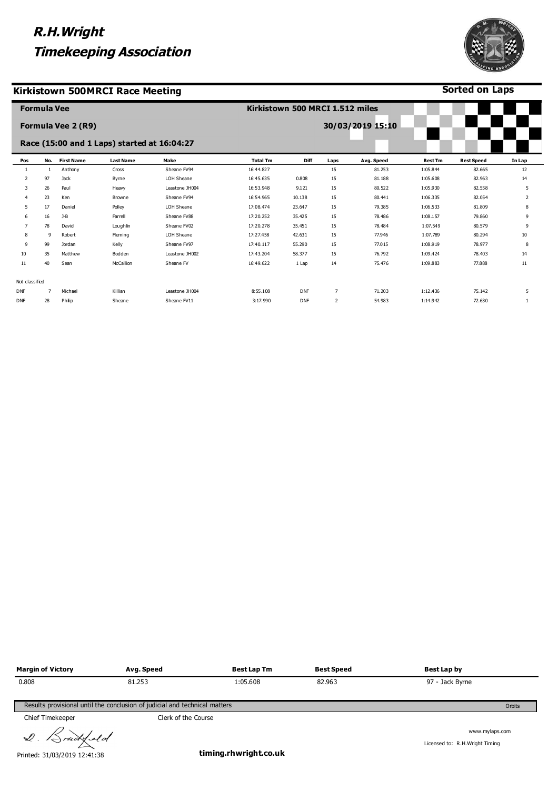#### **Kirkistown 500MRCI Race Meeting**



**Sorted on Laps**

|                | <b>Formula Vee</b> |                    |                                             |                | Kirkistown 500 MRCI 1.512 miles |            |                |                  |                |                   |        |
|----------------|--------------------|--------------------|---------------------------------------------|----------------|---------------------------------|------------|----------------|------------------|----------------|-------------------|--------|
|                |                    | Formula Vee 2 (R9) |                                             |                |                                 |            |                | 30/03/2019 15:10 |                |                   |        |
|                |                    |                    | Race (15:00 and 1 Laps) started at 16:04:27 |                |                                 |            |                |                  |                |                   |        |
| Pos            | No.                | <b>First Name</b>  | <b>Last Name</b>                            | Make           | <b>Total Tm</b>                 | Diff       | Laps           | Avg. Speed       | <b>Best Tm</b> | <b>Best Speed</b> | In Lap |
| -1             | $\mathbf{1}$       | Anthony            | Cross                                       | Sheane FV94    | 16:44.827                       |            | 15             | 81.253           | 1:05.844       | 82.665            | 12     |
| 2              | 97                 | <b>Jack</b>        | Byrne                                       | LOH Sheane     | 16:45.635                       | 0.808      | 15             | 81.188           | 1:05.608       | 82.963            | 14     |
| 3              | 26                 | Paul               | Heavy                                       | Leastone JH004 | 16:53.948                       | 9.121      | 15             | 80.522           | 1:05.930       | 82.558            | 5      |
| $\overline{4}$ | 23                 | Ken                | Browne                                      | Sheane FV94    | 16:54.965                       | 10.138     | 15             | 80.441           | 1:06.335       | 82.054            | 2      |
| 5              | 17                 | Daniel             | Polley                                      | LOH Sheane     | 17:08.474                       | 23.647     | 15             | 79.385           | 1:06.533       | 81.809            | 8      |
| 6              | 16                 | $J-B$              | Farrell                                     | Sheane FV88    | 17:20.252                       | 35.425     | 15             | 78.486           | 1:08.157       | 79.860            | 9      |
| $\overline{7}$ | 78                 | David              | Loughlin                                    | Sheane FV02    | 17:20.278                       | 35.451     | 15             | 78.484           | 1:07.549       | 80.579            | 9      |
| 8              | 9                  | Robert             | Fleming                                     | LOH Sheane     | 17:27.458                       | 42.631     | 15             | 77.946           | 1:07.789       | 80.294            | 10     |
| 9              | 99                 | Jordan             | Kelly                                       | Sheane FV97    | 17:40.117                       | 55.290     | 15             | 77.015           | 1:08.919       | 78.977            | 8      |
| 10             | 35                 | Matthew            | Bodden                                      | Leastone JH002 | 17:43.204                       | 58.377     | 15             | 76.792           | 1:09.424       | 78.403            | 14     |
| 11             | 40                 | Sean               | McCallion                                   | Sheane FV      | 16:49.622                       | 1 Lap      | 14             | 75.476           | 1:09.883       | 77,888            | 11     |
|                |                    |                    |                                             |                |                                 |            |                |                  |                |                   |        |
| Not classified |                    |                    |                                             |                |                                 |            |                |                  |                |                   |        |
| <b>DNF</b>     | 7                  | Michael            | Killian                                     | Leastone JH004 | 8:55.108                        | <b>DNF</b> | 7              | 71.203           | 1:12.436       | 75.142            | 5      |
| <b>DNF</b>     | 28                 | Philip             | Sheane                                      | Sheane FV11    | 3:17.990                        | <b>DNF</b> | $\overline{2}$ | 54.983           | 1:14.942       | 72.630            | 1      |
|                |                    |                    |                                             |                |                                 |            |                |                  |                |                   |        |

| <b>Margin of Victory</b> | Avg. Speed                                                                 | <b>Best Lap Tm</b> | <b>Best Speed</b> | Best Lap by     |        |
|--------------------------|----------------------------------------------------------------------------|--------------------|-------------------|-----------------|--------|
| 0.808                    | 81.253                                                                     | 1:05.608           | 82,963            | 97 - Jack Byrne |        |
|                          |                                                                            |                    |                   |                 |        |
|                          | Results provisional until the conclusion of judicial and technical matters |                    |                   |                 | Orbits |

Chief Timekeeper Chief Timekeeper

2. Brudysld

Printed: 31/03/2019 12:41:38

**timing.rhwright.co.uk**

www.mylaps.com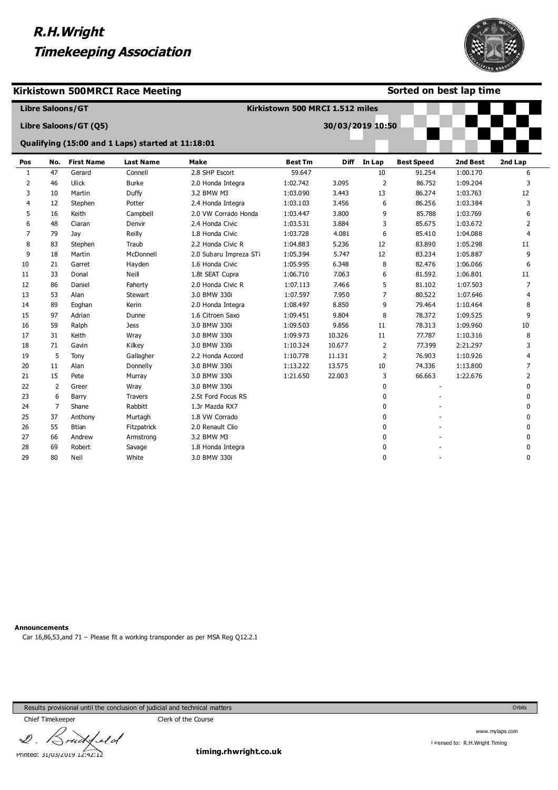

#### **Kirkistown 500MRCI Race Meeting**

#### **Sorted on best lap time**

|              |                | <b>Libre Saloons/GT</b> |                                                   |                        | Kirkistown 500 MRCI 1.512 miles |                  |                |                   |          |              |
|--------------|----------------|-------------------------|---------------------------------------------------|------------------------|---------------------------------|------------------|----------------|-------------------|----------|--------------|
|              |                | Libre Saloons/GT (Q5)   |                                                   |                        |                                 | 30/03/2019 10:50 |                |                   |          |              |
|              |                |                         | Qualifying (15:00 and 1 Laps) started at 11:18:01 |                        |                                 |                  |                |                   |          |              |
| Pos          | No.            | <b>First Name</b>       | <b>Last Name</b>                                  | Make                   | <b>Best Tm</b>                  | <b>Diff</b>      | In Lap         | <b>Best Speed</b> | 2nd Best | 2nd Lap      |
| $\mathbf{1}$ | 47             | Gerard                  | Connell                                           | 2.8 SHP Escort         | 59.647                          |                  | 10             | 91.254            | 1:00.170 | 6            |
| 2            | 46             | Ulick                   | <b>Burke</b>                                      | 2.0 Honda Integra      | 1:02.742                        | 3.095            | 2              | 86.752            | 1:09.204 | 3            |
| 3            | 10             | Martin                  | Duffy                                             | 3.2 BMW M3             | 1:03.090                        | 3.443            | 13             | 86.274            | 1:03.763 | 12           |
| 4            | 12             | Stephen                 | Potter                                            | 2.4 Honda Integra      | 1:03.103                        | 3.456            | 6              | 86.256            | 1:03.384 | 3            |
| 5            | 16             | Keith                   | Campbell                                          | 2.0 VW Corrado Honda   | 1:03.447                        | 3.800            | 9              | 85.788            | 1:03.769 | 6            |
| 6            | 48             | Ciaran                  | Denvir                                            | 2.4 Honda Civic        | 1:03.531                        | 3.884            | 3              | 85.675            | 1:03.672 | 2            |
| 7            | 79             | Jay                     | Reilly                                            | 1.8 Honda Civic        | 1:03.728                        | 4.081            | 6              | 85.410            | 1:04.088 | 4            |
| 8            | 83             | Stephen                 | Traub                                             | 2.2 Honda Civic R      | 1:04.883                        | 5.236            | 12             | 83.890            | 1:05.298 | 11           |
| 9            | 18             | Martin                  | McDonnell                                         | 2.0 Subaru Impreza STi | 1:05.394                        | 5.747            | 12             | 83.234            | 1:05.887 | 9            |
| 10           | 21             | Garret                  | Hayden                                            | 1.6 Honda Civic        | 1:05.995                        | 6.348            | 8              | 82,476            | 1:06.066 | 6            |
| 11           | 33             | Donal                   | Neill                                             | 1.8t SEAT Cupra        | 1:06.710                        | 7.063            | 6              | 81.592            | 1:06.801 | 11           |
| 12           | 86             | Daniel                  | Faherty                                           | 2.0 Honda Civic R      | 1:07.113                        | 7.466            | 5              | 81.102            | 1:07.503 | 7            |
| 13           | 53             | Alan                    | <b>Stewart</b>                                    | 3.0 BMW 330i           | 1:07.597                        | 7.950            | 7              | 80.522            | 1:07.646 | 4            |
| 14           | 89             | Eoghan                  | Kerin                                             | 2.0 Honda Integra      | 1:08.497                        | 8.850            | 9              | 79.464            | 1:10.464 | 8            |
| 15           | 97             | Adrian                  | Dunne                                             | 1.6 Citroen Saxo       | 1:09.451                        | 9.804            | 8              | 78.372            | 1:09.525 | 9            |
| 16           | 59             | Ralph                   | Jess                                              | 3.0 BMW 330i           | 1:09.503                        | 9.856            | 11             | 78.313            | 1:09.960 | 10           |
| 17           | 31             | Keith                   | Wray                                              | 3.0 BMW 330i           | 1:09.973                        | 10.326           | 11             | 77,787            | 1:10.316 | 8            |
| 18           | 71             | Gavin                   | Kilkey                                            | 3.0 BMW 330i           | 1:10.324                        | 10.677           | $\overline{2}$ | 77.399            | 2:21.297 | 3            |
| 19           | 5              | Tony                    | Gallagher                                         | 2.2 Honda Accord       | 1:10.778                        | 11.131           | 2              | 76.903            | 1:10.926 | 4            |
| 20           | 11             | Alan                    | Donnelly                                          | 3.0 BMW 330i           | 1:13.222                        | 13.575           | 10             | 74.336            | 1:13.800 | 7            |
| 21           | 15             | Pete                    | Murray                                            | 3.0 BMW 330i           | 1:21.650                        | 22.003           | 3              | 66.663            | 1:22.676 | 2            |
| 22           | 2              | Greer                   | Wray                                              | 3.0 BMW 330i           |                                 |                  | 0              |                   |          | 0            |
| 23           | 6              | Barry                   | <b>Travers</b>                                    | 2.5t Ford Focus RS     |                                 |                  | 0              |                   |          | 0            |
| 24           | $\overline{7}$ | Shane                   | Rabbitt                                           | 1.3r Mazda RX7         |                                 |                  | 0              |                   |          | 0            |
| 25           | 37             | Anthony                 | Murtagh                                           | 1.8 VW Corrado         |                                 |                  | 0              |                   |          | 0            |
| 26           | 55             | <b>Btian</b>            | Fitzpatrick                                       | 2.0 Renault Clio       |                                 |                  | 0              |                   |          | $\Omega$     |
| 27           | 66             | Andrew                  | Armstrong                                         | 3.2 BMW M3             |                                 |                  | 0              |                   |          | $\mathbf{0}$ |
| 28           | 69             | Robert                  | Savage                                            | 1.8 Honda Integra      |                                 |                  | 0              |                   |          | 0            |
| 29           | 80             | Neil                    | White                                             | 3.0 BMW 330i           |                                 |                  | 0              |                   |          | $\Omega$     |

#### **Announcements**

Car 16,86,53,and 71 – Please fit a working transponder as per MSA Reg Q12.2.1

Results provisional until the conclusion of judicial and technical matters

Chief Timekeeper Chief Timekeeper

 $\mathscr{Q}$  . feld Printed: 31/03/2019 12:42:12

**timing.rhwright.co.uk**

www.mylaps.com

Orbits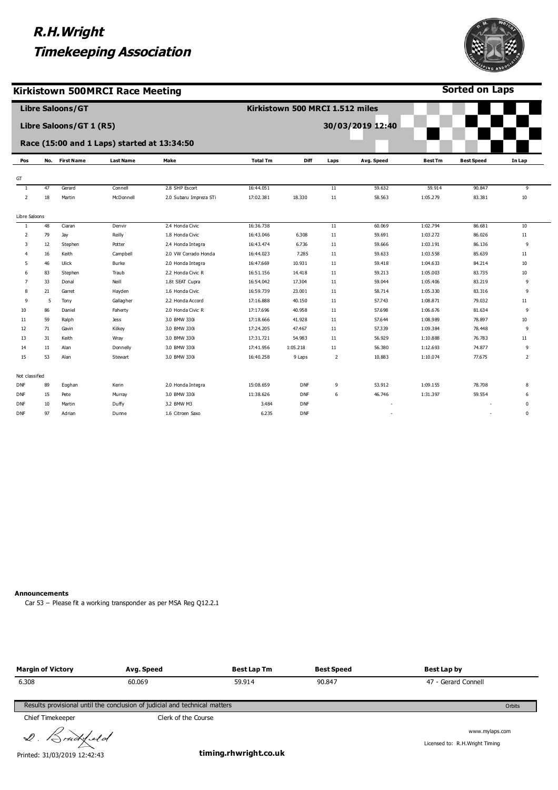**Kirkistown 500MRCI Race Meeting**



**Sorted on Laps**

|                |        | <b>Libre Saloons/GT</b> |                                             |                        |                 | Kirkistown 500 MRCI 1.512 miles |                |                  |                |                   |                |
|----------------|--------|-------------------------|---------------------------------------------|------------------------|-----------------|---------------------------------|----------------|------------------|----------------|-------------------|----------------|
|                |        | Libre Saloons/GT 1 (R5) |                                             |                        |                 |                                 |                | 30/03/2019 12:40 |                |                   |                |
|                |        |                         | Race (15:00 and 1 Laps) started at 13:34:50 |                        |                 |                                 |                |                  |                |                   |                |
| Pos            |        | No. First Name          | <b>Last Name</b>                            | Make                   | <b>Total Tm</b> | <b>Diff</b>                     | Laps           | Avg. Speed       | <b>Best Tm</b> | <b>Best Speed</b> | In Lap         |
|                |        |                         |                                             |                        |                 |                                 |                |                  |                |                   |                |
| GT             |        |                         |                                             |                        |                 |                                 |                |                  |                |                   |                |
| $\mathbf{1}$   | 47     | Gerard                  | Connell                                     | 2.8 SHP Escort         | 16:44.051       |                                 | 11             | 59.632           | 59.914         | 90.847            | 9              |
| $\overline{2}$ | 18     | Martin                  | McDonnell                                   | 2.0 Subaru Impreza STi | 17:02.381       | 18.330                          | 11             | 58.563           | 1:05.279       | 83.381            | 10             |
| Libre Saloons  |        |                         |                                             |                        |                 |                                 |                |                  |                |                   |                |
| -1             | 48     | Ciaran                  | Denvir                                      | 2.4 Honda Civic        | 16:36.738       |                                 | 11             | 60.069           | 1:02.794       | 86.681            | 10             |
| $\overline{2}$ | 79     | Jay                     | Reilly                                      | 1.8 Honda Civic        | 16:43.046       | 6.308                           | 11             | 59.691           | 1:03.272       | 86.026            | 11             |
| 3              | 12     | Stephen                 | Potter                                      | 2.4 Honda Integra      | 16:43.474       | 6.736                           | 11             | 59.666           | 1:03.191       | 86.136            | 9              |
| 4              | 16     | Keith                   | Campbell                                    | 2.0 VW Corrado Honda   | 16:44.023       | 7.285                           | 11             | 59.633           | 1:03.558       | 85.639            | 11             |
| 5              | 46     | Ulick                   | Burke                                       | 2.0 Honda Integra      | 16:47.669       | 10.931                          | 11             | 59.418           | 1:04.633       | 84.214            | 10             |
| 6              | 83     | Stephen                 | Traub                                       | 2.2 Honda Civic R      | 16:51.156       | 14.418                          | 11             | 59.213           | 1:05.003       | 83.735            | 10             |
| 7              | 33     | Donal                   | Neill                                       | 1.8t SEAT Cupra        | 16:54.042       | 17.304                          | 11             | 59.044           | 1:05.406       | 83.219            | 9              |
| R              | 21     | Garret                  | Hayden                                      | 1.6 Honda Civic        | 16:59.739       | 23.001                          | 11             | 58.714           | 1:05.330       | 83.316            | 9              |
| 9              | 5      | Tony                    | Gallagher                                   | 2.2 Honda Accord       | 17:16.888       | 40.150                          | 11             | 57.743           | 1:08.871       | 79.032            | $11\,$         |
| 10             | 86     | Daniel                  | Faherty                                     | 2.0 Honda Civic R      | 17:17.696       | 40.958                          | 11             | 57.698           | 1:06.676       | 81.634            | 9              |
| 11             | 59     | Ralph                   | <b>Jess</b>                                 | 3.0 BMW 330i           | 17:18.666       | 41.928                          | 11             | 57.644           | 1:08.989       | 78.897            | 10             |
| 12             | 71     | Gavin                   | Kilkey                                      | 3.0 BMW 330i           | 17:24.205       | 47.467                          | 11             | 57.339           | 1:09.384       | 78.448            | 9              |
| 13             | 31     | Keith                   | Wray                                        | 3.0 BMW 330i           | 17:31.721       | 54.983                          | 11             | 56.929           | 1:10.888       | 76.783            | 11             |
| 14             | $11\,$ | Alan                    | Donnelly                                    | 3.0 BMW 330i           | 17:41.956       | 1:05.218                        | 11             | 56.380           | 1:12.693       | 74.877            | 9              |
| 15             | 53     | Alan                    | Stewart                                     | 3.0 BMW 330i           | 16:40.258       | 9 Laps                          | $\overline{2}$ | 10.883           | 1:10.074       | 77.675            | $\overline{2}$ |
| Not classified |        |                         |                                             |                        |                 |                                 |                |                  |                |                   |                |
| <b>DNF</b>     | 89     | Eoghan                  | Kerin                                       | 2.0 Honda Integra      | 15:08.659       | <b>DNF</b>                      | 9              | 53.912           | 1:09.155       | 78.708            | 8              |
| <b>DNF</b>     | 15     | Pete                    | Murray                                      | 3.0 BMW 330i           | 11:38.626       | DNF                             | 6              | 46.746           | 1:31.397       | 59.554            | 6              |
| <b>DNF</b>     | 10     | Martin                  | Duffy                                       | 3.2 BMW M3             | 3.484           | DNF                             |                |                  |                |                   | 0              |
| <b>DNF</b>     | 97     | Adrian                  | Dunne                                       | 1.6 Citroen Saxo       | 6.235           | <b>DNF</b>                      |                |                  |                |                   | $\mathbf 0$    |

**Announcements**

Car 53 – Please fit a working transponder as per MSA Reg Q12.2.1

| <b>Margin of Victory</b> | Avg. Speed                                                                 | <b>Best Lap Tm</b> | <b>Best Speed</b> | Best Lap by                                       |
|--------------------------|----------------------------------------------------------------------------|--------------------|-------------------|---------------------------------------------------|
| 6.308                    | 60.069                                                                     | 59.914             | 90.847            | 47 - Gerard Connell                               |
|                          | Results provisional until the conclusion of judicial and technical matters |                    |                   | Orbits                                            |
| Chief Timekeeper         | Clerk of the Course                                                        |                    |                   |                                                   |
| 2. Bruddeld              |                                                                            |                    |                   | www.mylaps.com<br>Licensed to: R.H. Wright Timing |

Printed: 31/03/2019 12:42:43

**timing.rhwright.co.uk**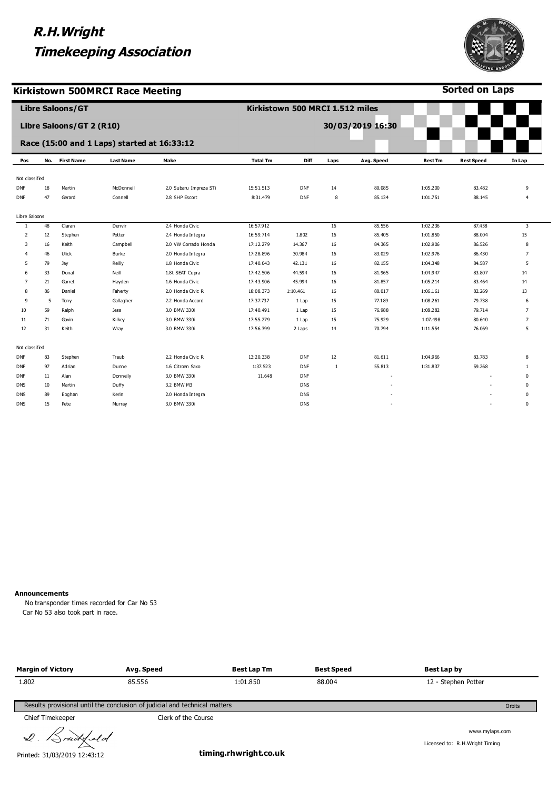

**Sorted on Laps**

**Kirkistown 500MRCI Race Meeting**

|                |     | <b>Libre Saloons/GT</b>  |                                             |                        |                 | Kirkistown 500 MRCI 1.512 miles |              |                  |                |                   |                         |
|----------------|-----|--------------------------|---------------------------------------------|------------------------|-----------------|---------------------------------|--------------|------------------|----------------|-------------------|-------------------------|
|                |     | Libre Saloons/GT 2 (R10) |                                             |                        |                 |                                 |              | 30/03/2019 16:30 |                |                   |                         |
|                |     |                          | Race (15:00 and 1 Laps) started at 16:33:12 |                        |                 |                                 |              |                  |                |                   |                         |
| Pos            | No. | <b>First Name</b>        | <b>Last Name</b>                            | Make                   | <b>Total Tm</b> | Diff                            | Laps         | Avg. Speed       | <b>Best Tm</b> | <b>Best Speed</b> | In Lap                  |
| Not classified |     |                          |                                             |                        |                 |                                 |              |                  |                |                   |                         |
| DNF            | 18  | Martin                   | McDonnell                                   | 2.0 Subaru Impreza STi | 15:51.513       | <b>DNF</b>                      | 14           | 80.085           | 1:05.200       | 83.482            | 9                       |
| DNF            | 47  | Gerard                   | Connell                                     | 2.8 SHP Escort         | 8:31.479        | <b>DNF</b>                      | 8            | 85.134           | 1:01.751       | 88.145            | $\overline{4}$          |
| Libre Saloons  |     |                          |                                             |                        |                 |                                 |              |                  |                |                   |                         |
| -1.            | 48  | Ciaran                   | Denvir                                      | 2.4 Honda Civic        | 16:57.912       |                                 | 16           | 85.556           | 1:02.236       | 87.458            | $\overline{\mathbf{3}}$ |
| 2              | 12  | Stephen                  | Potter                                      | 2.4 Honda Integra      | 16:59.714       | 1.802                           | 16           | 85.405           | 1:01.850       | 88.004            | 15                      |
| 3              | 16  | Keith                    | Campbell                                    | 2.0 VW Corrado Honda   | 17:12.279       | 14.367                          | 16           | 84.365           | 1:02.906       | 86.526            | 8                       |
| 4              | 46  | Ulick                    | Burke                                       | 2.0 Honda Integra      | 17:28.896       | 30.984                          | 16           | 83.029           | 1:02.976       | 86.430            | 7                       |
| 5              | 79  | Jay                      | Reilly                                      | 1.8 Honda Civic        | 17:40.043       | 42.131                          | 16           | 82.155           | 1:04.348       | 84.587            | 5                       |
| 6              | 33  | Donal                    | Neill                                       | 1.8t SEAT Cupra        | 17:42.506       | 44.594                          | 16           | 81.965           | 1:04.947       | 83.807            | 14                      |
| 7              | 21  | Garret                   | Hayden                                      | 1.6 Honda Civic        | 17:43.906       | 45.994                          | 16           | 81.857           | 1:05.214       | 83.464            | 14                      |
| 8              | 86  | Daniel                   | Faherty                                     | 2.0 Honda Civic R      | 18:08.373       | 1:10.461                        | 16           | 80.017           | 1:06.161       | 82.269            | 13                      |
| 9              | 5   | Tony                     | Gallagher                                   | 2.2 Honda Accord       | 17:37.737       | 1 Lap                           | 15           | 77.189           | 1:08.261       | 79.738            | 6                       |
| 10             | 59  | Ralph                    | <b>Jess</b>                                 | 3.0 BMW 330i           | 17:40.491       | 1 Lap                           | 15           | 76.988           | 1:08.282       | 79.714            | $\overline{7}$          |
| 11             | 71  | Gavin                    | Kilkey                                      | 3.0 BMW 330i           | 17:55.279       | 1 Lap                           | 15           | 75.929           | 1:07.498       | 80.640            | 7                       |
| 12             | 31  | Keith                    | Wray                                        | 3.0 BMW 330i           | 17:56.399       | 2 Laps                          | 14           | 70.794           | 1:11.554       | 76.069            | 5                       |
| Not classified |     |                          |                                             |                        |                 |                                 |              |                  |                |                   |                         |
| DNF            | 83  | Stephen                  | Traub                                       | 2.2 Honda Civic R      | 13:20.338       | <b>DNF</b>                      | 12           | 81.611           | 1:04.966       | 83.783            | 8                       |
| <b>DNF</b>     | 97  | Adrian                   | Dunne                                       | 1.6 Citroen Saxo       | 1:37.523        | <b>DNF</b>                      | $\mathbf{1}$ | 55.813           | 1:31.837       | 59.268            | 1                       |
| <b>DNF</b>     | 11  | Alan                     | Donnelly                                    | 3.0 BMW 330i           | 11.648          | <b>DNF</b>                      |              |                  |                |                   | $\mathbf 0$             |
| DNS            | 10  | Martin                   | Duffy                                       | 3.2 BMW M3             |                 | <b>DNS</b>                      |              |                  |                |                   | $\mathbf 0$             |
| DNS            | 89  | Eoghan                   | Kerin                                       | 2.0 Honda Integra      |                 | <b>DNS</b>                      |              |                  |                |                   | $\Omega$                |
| DNS            | 15  | Pete                     | Murray                                      | 3.0 BMW 330i           |                 | <b>DNS</b>                      |              | ÷,               |                | ٠                 | $\mathbf 0$             |

**Announcements**

No transponder times recorded for Car No 53 Car No 53 also took part in race.

| <b>Margin of Victory</b> | Avg. Speed                                                                 | <b>Best Lap Tm</b> | Best Speed | Best Lap by         |        |
|--------------------------|----------------------------------------------------------------------------|--------------------|------------|---------------------|--------|
| 1.802                    | 85.556                                                                     | 1:01.850           | 88,004     | 12 - Stephen Potter |        |
|                          | Results provisional until the conclusion of judicial and technical matters |                    |            |                     | Orbits |
| <b>Chief Timekeeper</b>  | Clerk of the Course                                                        |                    |            |                     |        |

2. Brudysld

Printed: 31/03/2019 12:43:12

**timing.rhwright.co.uk**

www.mylaps.com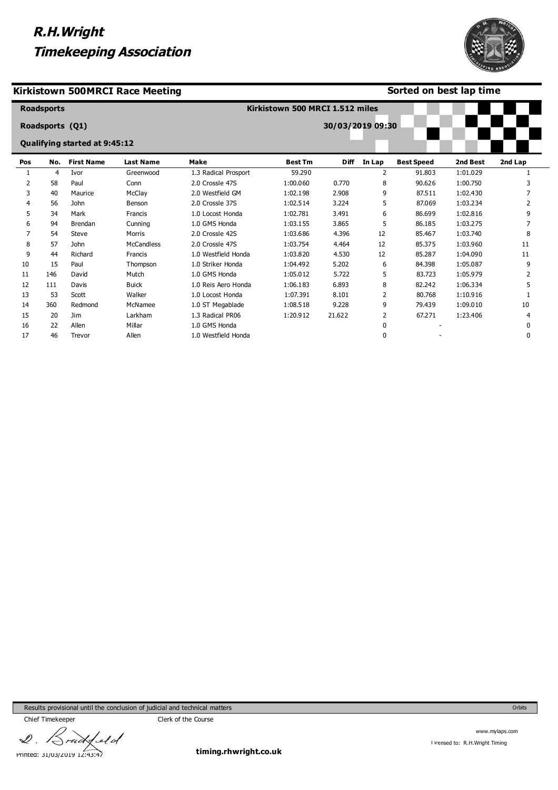#### **Kirkistown 500MRCI Race Meeting**

#### **Sorted on best lap time**

-

|     | <b>Roadsports</b> |                               |                   |                      | Kirkistown 500 MRCI 1.512 miles |                  |        |                   |          |         |
|-----|-------------------|-------------------------------|-------------------|----------------------|---------------------------------|------------------|--------|-------------------|----------|---------|
|     | Roadsports (Q1)   |                               |                   |                      |                                 | 30/03/2019 09:30 |        |                   |          |         |
|     |                   | Qualifying started at 9:45:12 |                   |                      |                                 |                  |        |                   |          |         |
| Pos | No.               | <b>First Name</b>             | <b>Last Name</b>  | <b>Make</b>          | <b>Best Tm</b>                  | <b>Diff</b>      | In Lap | <b>Best Speed</b> | 2nd Best | 2nd Lap |
| 1   | 4                 | Ivor                          | Greenwood         | 1.3 Radical Prosport | 59.290                          |                  | 2      | 91.803            | 1:01.029 |         |
| 2   | 58                | Paul                          | Conn              | 2.0 Crossle 47S      | 1:00.060                        | 0.770            | 8      | 90.626            | 1:00.750 |         |
| 3   | 40                | Maurice                       | McClay            | 2.0 Westfield GM     | 1:02.198                        | 2.908            | 9      | 87.511            | 1:02.430 |         |
| 4   | 56                | <b>John</b>                   | Benson            | 2.0 Crossle 37S      | 1:02.514                        | 3.224            | 5      | 87.069            | 1:03.234 |         |
| 5   | 34                | Mark                          | Francis           | 1.0 Locost Honda     | 1:02.781                        | 3.491            | 6      | 86.699            | 1:02.816 | 9       |
| 6   | 94                | <b>Brendan</b>                | Cunning           | 1.0 GMS Honda        | 1:03.155                        | 3.865            | 5      | 86.185            | 1:03.275 |         |
| 7   | 54                | <b>Steve</b>                  | Morris            | 2.0 Crossle 42S      | 1:03.686                        | 4.396            | 12     | 85.467            | 1:03.740 | 8       |
| 8   | 57                | <b>John</b>                   | <b>McCandless</b> | 2.0 Crossle 47S      | 1:03.754                        | 4.464            | 12     | 85.375            | 1:03.960 | 11      |
| 9   | 44                | Richard                       | Francis           | 1.0 Westfield Honda  | 1:03.820                        | 4.530            | 12     | 85.287            | 1:04.090 | 11      |
| 10  | 15                | Paul                          | Thompson          | 1.0 Striker Honda    | 1:04.492                        | 5.202            | 6      | 84.398            | 1:05.087 | 9       |
| 11  | 146               | David                         | Mutch             | 1.0 GMS Honda        | 1:05.012                        | 5.722            | 5      | 83.723            | 1:05.979 |         |
| 12  | 111               | Davis                         | <b>Buick</b>      | 1.0 Reis Aero Honda  | 1:06.183                        | 6.893            | 8      | 82.242            | 1:06.334 | 5       |
| 13  | 53                | Scott                         | Walker            | 1.0 Locost Honda     | 1:07.391                        | 8.101            | 2      | 80.768            | 1:10.916 |         |
| 14  | 360               | Redmond                       | McNamee           | 1.0 ST Megablade     | 1:08.518                        | 9.228            | 9      | 79.439            | 1:09.010 | 10      |
| 15  | 20                | Jim                           | Larkham           | 1.3 Radical PR06     | 1:20.912                        | 21.622           | 2      | 67.271            | 1:23.406 | 4       |
| 16  | 22                | Allen                         | Millar            | 1.0 GMS Honda        |                                 |                  | 0      |                   |          | 0       |
| 17  | 46                | Trevor                        | Allen             | 1.0 Westfield Honda  |                                 |                  | 0      |                   |          |         |

Results provisional until the conclusion of judicial and technical matters

Chief Timekeeper Chief Timekeeper  $4$ eld  $\mathscr{Q}$  .

ui

Printed: 31/03/2019 12:43:47

**timing.rhwright.co.uk**

www.mylaps.com Licensed to: R.H.Wright Timing

Orbits

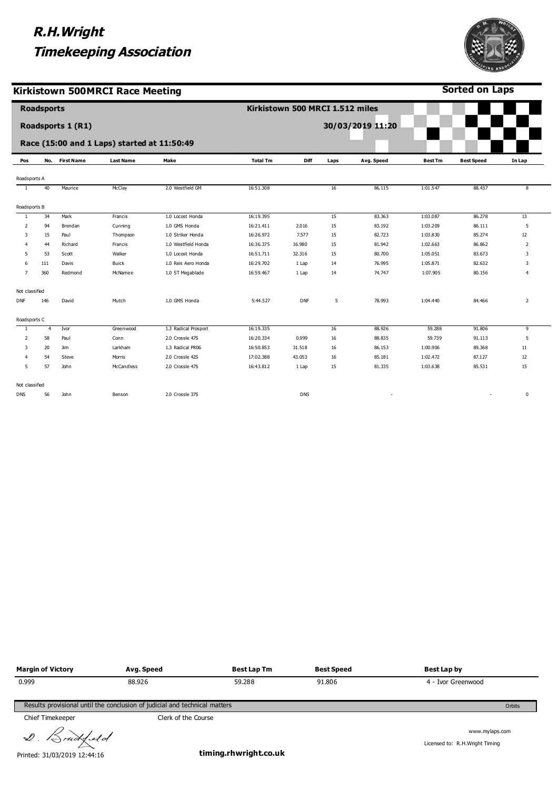

**Sorted on Laps**

**Kirkistown 500MRCI Race Meeting**

|                | <b>Roadsports</b> |                   |                                             |                      |                 | Kirkistown 500 MRCI 1.512 miles |      |                          |                |                          |                         |
|----------------|-------------------|-------------------|---------------------------------------------|----------------------|-----------------|---------------------------------|------|--------------------------|----------------|--------------------------|-------------------------|
|                |                   | Roadsports 1 (R1) |                                             |                      |                 |                                 |      | 30/03/2019 11:20         |                |                          |                         |
|                |                   |                   |                                             |                      |                 |                                 |      |                          |                |                          |                         |
|                |                   |                   | Race (15:00 and 1 Laps) started at 11:50:49 |                      |                 |                                 |      |                          |                |                          |                         |
| Pos            |                   | No. First Name    | <b>Last Name</b>                            | Make                 | <b>Total Tm</b> | Diff                            | Laps | Avg. Speed               | <b>Best Tm</b> | <b>Best Speed</b>        | In Lap                  |
| Roadsports A   |                   |                   |                                             |                      |                 |                                 |      |                          |                |                          |                         |
| $\overline{1}$ | 40                | Maurice           | McClay                                      | 2.0 Westfield GM     | 16:51.308       |                                 | 16   | 86.115                   | 1:01.547       | 88.437                   | $\overline{\mathbf{8}}$ |
|                |                   |                   |                                             |                      |                 |                                 |      |                          |                |                          |                         |
| Roadsports B   |                   |                   |                                             |                      |                 |                                 |      |                          |                |                          |                         |
| <sup>1</sup>   | 34                | Mark              | Francis                                     | 1.0 Locost Honda     | 16:19.395       |                                 | 15   | 83.363                   | 1:03.087       | 86.278                   | 13                      |
| 2              | 94                | Brendan           | Cunning                                     | 1.0 GMS Honda        | 16:21.411       | 2.016                           | 15   | 83.192                   | 1:03.209       | 86.111                   | 5                       |
| 3              | 15                | Paul              | Thompson                                    | 1.0 Striker Honda    | 16:26.972       | 7.577                           | 15   | 82.723                   | 1:03.830       | 85.274                   | 12                      |
| 4              | 44                | Richard           | Francis                                     | 1.0 Westfield Honda  | 16:36.375       | 16.980                          | 15   | 81.942                   | 1:02.663       | 86.862                   | $\overline{2}$          |
| 5              | 53                | Scott             | Walker                                      | 1.0 Locost Honda     | 16:51.711       | 32.316                          | 15   | 80.700                   | 1:05.051       | 83.673                   | 3                       |
| 6              | 111               | Davis             | Buick                                       | 1.0 Reis Aero Honda  | 16:29.702       | 1 Lap                           | 14   | 76.995                   | 1:05.871       | 82.632                   | 3                       |
| $\overline{7}$ | 360               | Redmond           | McNamee                                     | 1.0 ST Megablade     | 16:59.467       | 1 Lap                           | 14   | 74.747                   | 1:07.905       | 80.156                   | 4                       |
| Not classified |                   |                   |                                             |                      |                 |                                 |      |                          |                |                          |                         |
| <b>DNF</b>     | 146               | David             | Mutch                                       | 1.0 GMS Honda        | 5:44.527        | <b>DNF</b>                      | 5    | 78.993                   | 1:04.440       | 84.466                   | $\overline{2}$          |
| Roadsports C   |                   |                   |                                             |                      |                 |                                 |      |                          |                |                          |                         |
| <sup>1</sup>   | $\overline{4}$    | Ivor              | Greenwood                                   | 1.3 Radical Prosport | 16:19.335       |                                 | 16   | 88.926                   | 59.288         | 91.806                   | 9                       |
| $\overline{2}$ | 58                | Paul              | Conn                                        | 2.0 Crossle 47S      | 16:20.334       | 0.999                           | 16   | 88.835                   | 59.739         | 91.113                   | 5                       |
| 3              | 20                | Jim               | Larkham                                     | 1.3 Radical PR06     | 16:50.853       | 31.518                          | 16   | 86.153                   | 1:00.906       | 89.368                   | 11                      |
| 4              | 54                | Steve             | Morris                                      | 2.0 Crossle 42S      | 17:02.388       | 43.053                          | 16   | 85.181                   | 1:02.472       | 87.127                   | 12                      |
| 5              | 57                | John              | McCandless                                  | 2.0 Crossle 47S      | 16:43.812       | 1 Lap                           | 15   | 81.335                   | 1:03.638       | 85.531                   | 15                      |
| Not classified |                   |                   |                                             |                      |                 |                                 |      |                          |                |                          |                         |
| <b>DNS</b>     | 56                | John              | Benson                                      | 2.0 Crossle 37S      |                 | <b>DNS</b>                      |      | $\overline{\phantom{a}}$ |                | $\overline{\phantom{a}}$ | 0                       |

| <b>Margin of Victory</b>                                                             | Avg. Speed          | <b>Best Lap Tm</b> | <b>Best Speed</b> | Best Lap by                                       |  |  |  |  |
|--------------------------------------------------------------------------------------|---------------------|--------------------|-------------------|---------------------------------------------------|--|--|--|--|
| 0.999                                                                                | 88.926              | 59.288             | 91.806            | 4 - Ivor Greenwood                                |  |  |  |  |
| Results provisional until the conclusion of judicial and technical matters<br>Orbits |                     |                    |                   |                                                   |  |  |  |  |
| Chief Timekeeper                                                                     | Clerk of the Course |                    |                   |                                                   |  |  |  |  |
| 2. Bruddeld                                                                          |                     | .                  |                   | www.mylaps.com<br>Licensed to: R.H. Wright Timing |  |  |  |  |

Printed: 31/03/2019 12:44:16

**timing.rhwright.co.uk**